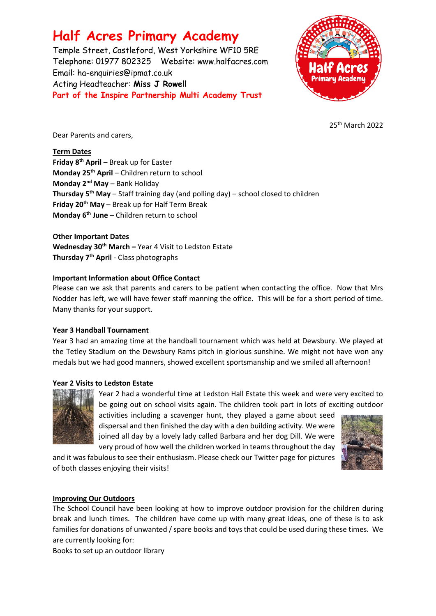# **Half Acres Primary Academy**

Temple Street, Castleford, West Yorkshire WF10 5RE Telephone: 01977 802325 Website: [www.halfacres.com](http://www.halfacres.com/) Email: ha-enquiries@ipmat.co.uk Acting Headteacher: **Miss J Rowell Part of the Inspire Partnership Multi Academy Trust**



25th March 2022

Dear Parents and carers,

**Term Dates**

**Friday 8th April** – Break up for Easter **Monday 25th April** – Children return to school **Monday 2nd May** – Bank Holiday **Thursday 5th May** – Staff training day (and polling day) – school closed to children **Friday 20th May** – Break up for Half Term Break **Monday 6th June** – Children return to school

**Other Important Dates**

**Wednesday 30th March –** Year 4 Visit to Ledston Estate **Thursday 7th April** - Class photographs

## **Important Information about Office Contact**

Please can we ask that parents and carers to be patient when contacting the office. Now that Mrs Nodder has left, we will have fewer staff manning the office. This will be for a short period of time. Many thanks for your support.

#### **Year 3 Handball Tournament**

Year 3 had an amazing time at the handball tournament which was held at Dewsbury. We played at the Tetley Stadium on the Dewsbury Rams pitch in glorious sunshine. We might not have won any medals but we had good manners, showed excellent sportsmanship and we smiled all afternoon!

#### **Year 2 Visits to Ledston Estate**



Year 2 had a wonderful time at Ledston Hall Estate this week and were very excited to be going out on school visits again. The children took part in lots of exciting outdoor

activities including a scavenger hunt, they played a game about seed dispersal and then finished the day with a den building activity. We were joined all day by a lovely lady called Barbara and her dog Dill. We were very proud of how well the children worked in teams throughout the day

and it was fabulous to see their enthusiasm. Please check our Twitter page for pictures of both classes enjoying their visits!



#### **Improving Our Outdoors**

The School Council have been looking at how to improve outdoor provision for the children during break and lunch times. The children have come up with many great ideas, one of these is to ask families for donations of unwanted / spare books and toys that could be used during these times. We are currently looking for:

Books to set up an outdoor library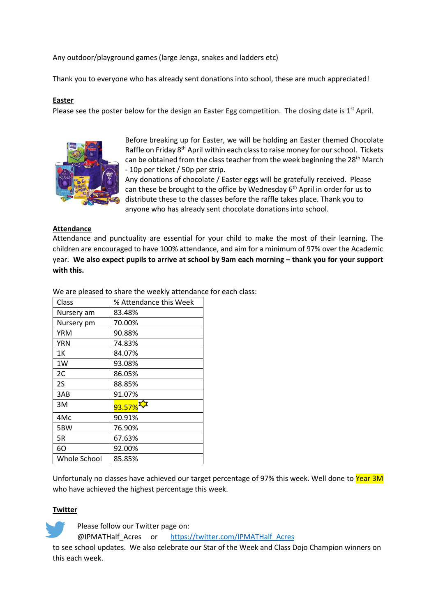Any outdoor/playground games (large Jenga, snakes and ladders etc)

Thank you to everyone who has already sent donations into school, these are much appreciated!

## **Easter**

Please see the poster below for the design an Easter Egg competition. The closing date is  $1<sup>st</sup>$  April.



Before breaking up for Easter, we will be holding an Easter themed Chocolate Raffle on Friday 8<sup>th</sup> April within each class to raise money for our school. Tickets can be obtained from the class teacher from the week beginning the 28<sup>th</sup> March - 10p per ticket / 50p per strip.

Any donations of chocolate / Easter eggs will be gratefully received. Please can these be brought to the office by Wednesday 6<sup>th</sup> April in order for us to distribute these to the classes before the raffle takes place. Thank you to anyone who has already sent chocolate donations into school.

#### **Attendance**

Attendance and punctuality are essential for your child to make the most of their learning. The children are encouraged to have 100% attendance, and aim for a minimum of 97% over the Academic year. We also expect pupils to arrive at school by 9am each morning - thank you for your support **with this.**

We are pleased to share the weekly attendance for each class:

| Class        | % Attendance this Week |
|--------------|------------------------|
| Nursery am   | 83.48%                 |
| Nursery pm   | 70.00%                 |
| YRM          | 90.88%                 |
| YRN          | 74.83%                 |
| 1Κ           | 84.07%                 |
| 1W           | 93.08%                 |
| 2C           | 86.05%                 |
| 2S           | 88.85%                 |
| 3AB          | 91.07%                 |
| 3M           | 93.57%                 |
| 4Mc          | 90.91%                 |
| 5BW          | 76.90%                 |
| 5R           | 67.63%                 |
| 60           | 92.00%                 |
| Whole School | 85.85%                 |

Unfortunaly no classes have achieved our target percentage of 97% this week. Well done to Year 3M who have achieved the highest percentage this week.

## **Twitter**

Please follow our Twitter page on:

@IPMATHalf\_Acres or [https://twitter.com/IPMATHalf\\_Acres](https://twitter.com/IPMATHalf_Acres)

to see school updates. We also celebrate our Star of the Week and Class Dojo Champion winners on this each week.